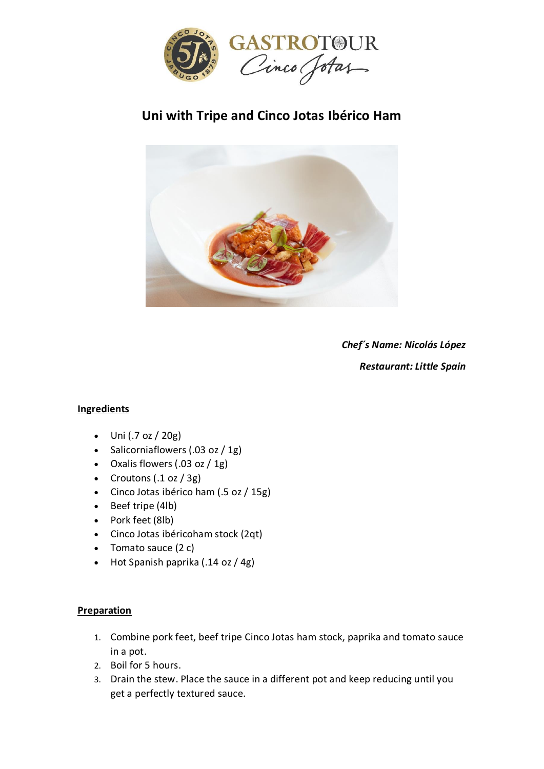

## **Uni with Tripe and Cinco Jotas Ibérico Ham**



*Chef´s Name: Nicolás López Restaurant: Little Spain*

## **Ingredients**

- $\bullet$  Uni (.7 oz / 20g)
- Salicorniaflowers  $(.03 oz / 1g)$
- Oxalis flowers (.03 oz / 1g)
- Croutons  $(.1 \text{ oz} / 3 \text{ g})$
- Cinco Jotas ibérico ham (.5 oz / 15g)
- Beef tripe (4lb)
- Pork feet (8lb)
- Cinco Jotas ibéricoham stock (2qt)
- Tomato sauce (2 c)
- Hot Spanish paprika (.14 oz / 4g)

## **Preparation**

- 1. Combine pork feet, beef tripe Cinco Jotas ham stock, paprika and tomato sauce in a pot.
- 2. Boil for 5 hours.
- 3. Drain the stew. Place the sauce in a different pot and keep reducing until you get a perfectly textured sauce.